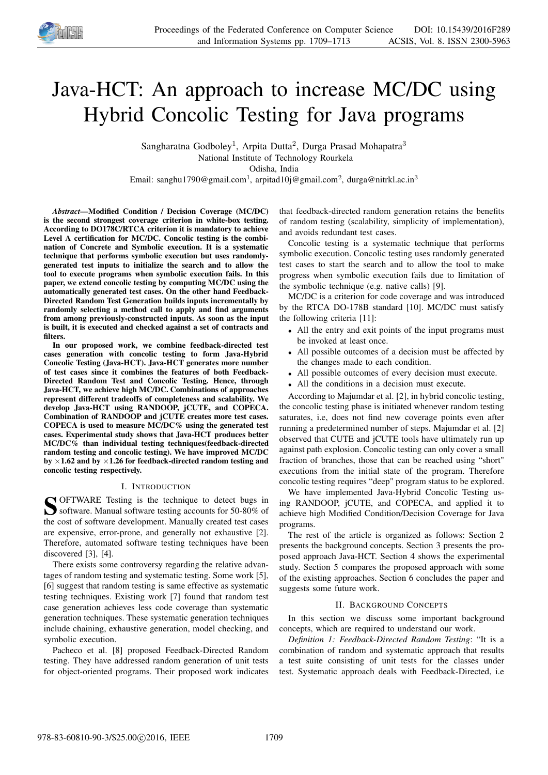

# Java-HCT: An approach to increase MC/DC using Hybrid Concolic Testing for Java programs

Sangharatna Godboley<sup>1</sup>, Arpita Dutta<sup>2</sup>, Durga Prasad Mohapatra<sup>3</sup> National Institute of Technology Rourkela Odisha, India

Email: sanghu1790@gmail.com<sup>1</sup>, arpitad10j@gmail.com<sup>2</sup>, durga@nitrkl.ac.in<sup>3</sup>

*Abstract*—Modified Condition / Decision Coverage (MC/DC) is the second strongest coverage criterion in white-box testing. According to DO178C/RTCA criterion it is mandatory to achieve Level A certification for MC/DC. Concolic testing is the combination of Concrete and Symbolic execution. It is a systematic technique that performs symbolic execution but uses randomlygenerated test inputs to initialize the search and to allow the tool to execute programs when symbolic execution fails. In this paper, we extend concolic testing by computing MC/DC using the automatically generated test cases. On the other hand Feedback-Directed Random Test Generation builds inputs incrementally by randomly selecting a method call to apply and find arguments from among previously-constructed inputs. As soon as the input is built, it is executed and checked against a set of contracts and filters.

In our proposed work, we combine feedback-directed test cases generation with concolic testing to form Java-Hybrid Concolic Testing (Java-HCT). Java-HCT generates more number of test cases since it combines the features of both Feedback-Directed Random Test and Concolic Testing. Hence, through Java-HCT, we achieve high MC/DC. Combinations of approaches represent different tradeoffs of completeness and scalability. We develop Java-HCT using RANDOOP, jCUTE, and COPECA. Combination of RANDOOP and jCUTE creates more test cases. COPECA is used to measure MC/DC% using the generated test cases. Experimental study shows that Java-HCT produces better MC/DC% than individual testing techniques(feedback-directed random testing and concolic testing). We have improved MC/DC by  $\times$ 1.62 and by  $\times$ 1.26 for feedback-directed random testing and concolic testing respectively.

# I. INTRODUCTION

S OFTWARE Testing is the technique to detect bugs in software. Manual software testing accounts for 50-80% of software. Manual software testing accounts for 50-80% of the cost of software development. Manually created test cases are expensive, error-prone, and generally not exhaustive [2]. Therefore, automated software testing techniques have been discovered [3], [4].

There exists some controversy regarding the relative advantages of random testing and systematic testing. Some work [5], [6] suggest that random testing is same effective as systematic testing techniques. Existing work [7] found that random test case generation achieves less code coverage than systematic generation techniques. These systematic generation techniques include chaining, exhaustive generation, model checking, and symbolic execution.

Pacheco et al. [8] proposed Feedback-Directed Random testing. They have addressed random generation of unit tests for object-oriented programs. Their proposed work indicates that feedback-directed random generation retains the benefits of random testing (scalability, simplicity of implementation), and avoids redundant test cases.

Concolic testing is a systematic technique that performs symbolic execution. Concolic testing uses randomly generated test cases to start the search and to allow the tool to make progress when symbolic execution fails due to limitation of the symbolic technique (e.g. native calls) [9].

MC/DC is a criterion for code coverage and was introduced by the RTCA DO-178B standard [10]. MC/DC must satisfy the following criteria [11]:

- All the entry and exit points of the input programs must be invoked at least once.
- All possible outcomes of a decision must be affected by the changes made to each condition.
- All possible outcomes of every decision must execute.
- All the conditions in a decision must execute.

According to Majumdar et al. [2], in hybrid concolic testing, the concolic testing phase is initiated whenever random testing saturates, i.e, does not find new coverage points even after running a predetermined number of steps. Majumdar et al. [2] observed that CUTE and jCUTE tools have ultimately run up against path explosion. Concolic testing can only cover a small fraction of branches, those that can be reached using "short" executions from the initial state of the program. Therefore concolic testing requires "deep" program status to be explored.

We have implemented Java-Hybrid Concolic Testing using RANDOOP, jCUTE, and COPECA, and applied it to achieve high Modified Condition/Decision Coverage for Java programs.

The rest of the article is organized as follows: Section 2 presents the background concepts. Section 3 presents the proposed approach Java-HCT. Section 4 shows the experimental study. Section 5 compares the proposed approach with some of the existing approaches. Section 6 concludes the paper and suggests some future work.

# II. BACKGROUND CONCEPTS

In this section we discuss some important background concepts, which are required to understand our work.

*Definition 1: Feedback-Directed Random Testing*: "It is a combination of random and systematic approach that results a test suite consisting of unit tests for the classes under test. Systematic approach deals with Feedback-Directed, i.e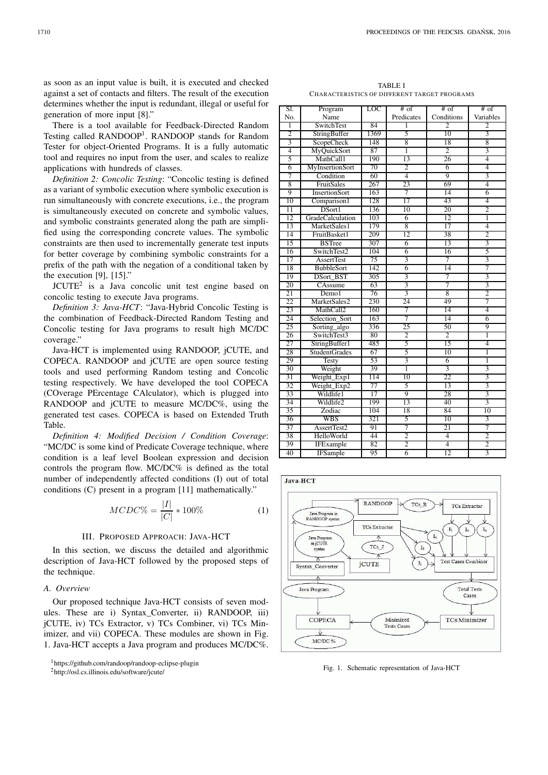There is a tool available for Feedback-Directed Random Testing called RANDOOP<sup>1</sup>. RANDOOP stands for Random Tester for object-Oriented Programs. It is a fully automatic tool and requires no input from the user, and scales to realize applications with hundreds of classes.

*Definition 2: Concolic Testing*: "Concolic testing is defined as a variant of symbolic execution where symbolic execution is run simultaneously with concrete executions, i.e., the program is simultaneously executed on concrete and symbolic values, and symbolic constraints generated along the path are simplified using the corresponding concrete values. The symbolic constraints are then used to incrementally generate test inputs for better coverage by combining symbolic constraints for a prefix of the path with the negation of a conditional taken by the execution [9], [15]."

 $JCUTE<sup>2</sup>$  is a Java concolic unit test engine based on concolic testing to execute Java programs.

*Definition 3: Java-HCT*: "Java-Hybrid Concolic Testing is the combination of Feedback-Directed Random Testing and Concolic testing for Java programs to result high MC/DC coverage."

Java-HCT is implemented using RANDOOP, jCUTE, and COPECA. RANDOOP and jCUTE are open source testing tools and used performing Random testing and Concolic testing respectively. We have developed the tool COPECA (COverage PErcentage CAlculator), which is plugged into RANDOOP and jCUTE to measure MC/DC%, using the generated test cases. COPECA is based on Extended Truth Table.

*Definition 4: Modified Decision / Condition Coverage*: "MC/DC is some kind of Predicate Coverage technique, where condition is a leaf level Boolean expression and decision controls the program flow. MC/DC% is defined as the total number of independently affected conditions (I) out of total conditions (C) present in a program [11] mathematically."

$$
MCDC\% = \frac{|I|}{|C|} * 100\%
$$
 (1)

# III. PROPOSED APPROACH: JAVA-HCT

In this section, we discuss the detailed and algorithmic description of Java-HCT followed by the proposed steps of the technique.

# *A. Overview*

Our proposed technique Java-HCT consists of seven modules. These are i) Syntax\_Converter, ii) RANDOOP, iii) jCUTE, iv) TCs Extractor, v) TCs Combiner, vi) TCs Minimizer, and vii) COPECA. These modules are shown in Fig. 1. Java-HCT accepts a Java program and produces MC/DC%.

<sup>1</sup>https://github.com/randoop/randoop-eclipse-plugin

| SI.             | Program                 | <b>LOC</b>      | $#$ of          | $#$ of         | $#$ of                  |  |
|-----------------|-------------------------|-----------------|-----------------|----------------|-------------------------|--|
| No.             | Name                    |                 | Predicates      | Conditions     | Variables               |  |
| 1               | <b>SwitchTest</b>       | 84              | 1               | $\overline{2}$ | 2                       |  |
| $\overline{2}$  | StringBuffer            | 1369            | 5               | 10             | 3                       |  |
| $\overline{3}$  | <b>ScopeCheck</b>       | 148             | $\overline{8}$  | 18             | $\overline{8}$          |  |
| $\overline{4}$  | MyQuickSort             | 87              | 1               | $\overline{2}$ | $\overline{3}$          |  |
| 5               | MathCall1               | 190             | 13              | 26             | 4                       |  |
| 6               | MyInsertionSort         | 70              | $\overline{2}$  | 6              | 4                       |  |
| 7               | Condition               | 60              | $\overline{4}$  | 9              | 3                       |  |
| 8               | FruitSales              | 267             | 23              | 69             | 4                       |  |
| 9               | <b>InsertionSort</b>    | 163             | 7               | 14             | 6                       |  |
| 10              | Comparison1             | 128             | 17              | 43             | 4                       |  |
| 11              | DSort1                  | 136             | 10              | 20             | $\overline{2}$          |  |
| 12              | <b>GradeCalculation</b> | 103             | $\overline{6}$  | 12             | ī                       |  |
| 13              | MarketSales1            | 179             | 8               | 17             | $\overline{4}$          |  |
| 14              | FruitBasket1            | 209             | $\overline{12}$ | 38             | $\overline{2}$          |  |
| 15              | <b>BSTree</b>           | 307             | 6               | 13             | 3                       |  |
| 16              | SwitchTest2             | 104             | $\overline{6}$  | 16             | 5                       |  |
| $\overline{17}$ | <b>AssertTest</b>       | 75              | $\overline{3}$  | 7              | 3                       |  |
| 18              | <b>BubbleSort</b>       | 142             | 6               | 14             | 7                       |  |
| 19              | DSort_BST               | 305             | 3               | 7              | 3                       |  |
| 20              | CAssume                 | 63              | $\overline{3}$  | 7              | $\overline{3}$          |  |
| 21              | Demol                   | 76              | 3               | 8              | $\overline{2}$          |  |
| 22              | MarketSales2            | 230             | 24              | 49             | 7                       |  |
| 23              | MathCall2               | 160             | 7               | 14             | 4                       |  |
| 24              | Selection_Sort          | 163             | 7               | 14             | $\overline{6}$          |  |
| 25              | Sorting_algo            | 336             | 25              | 50             | 9                       |  |
| 26              | SwitchTest3             | 80              | $\overline{2}$  | $\overline{2}$ | 1                       |  |
| 27              | StringBuffer1           | 485             | 5               | 15             | 4                       |  |
| 28              | <b>StudentGrades</b>    | 67              | 5               | 10             | ī                       |  |
| 29              | <b>Testy</b>            | 53              | $\overline{3}$  | $\overline{6}$ | 1                       |  |
| 30              | Weight                  | 39              | 1               | $\overline{3}$ | $\overline{3}$          |  |
| 31              | Weight_Exp1             | 114             | 10              | 22             | 3                       |  |
| 32              | Weight_Exp2             | 77              | 5               | 13             | $\overline{3}$          |  |
| 33              | Wildlife1               | $\overline{17}$ | 9               | 28             | $\overline{3}$          |  |
| 34              | Wildlife2               | 199             | 13              | 40             | 3                       |  |
| 35              | Zodiac                  | 104             | 18              | 84             | 10                      |  |
| 36              | WBS                     | 321             | 5               | 10             | $\overline{\mathbf{3}}$ |  |
| 37              | AssertTest2             | 91              | 7               | 21             | 7                       |  |
| 38              | HelloWorld              | 44              | $\overline{2}$  | $\overline{4}$ | $\overline{2}$          |  |
| 39              | IFExample               | 82              | $\overline{2}$  | $\overline{4}$ | $\overline{2}$          |  |
| 40              | <b>IFSample</b>         | 95              | 6               | 12             | 3                       |  |



Fig. 1. Schematic representation of Java-HCT

<sup>2</sup>http://osl.cs.illinois.edu/software/jcute/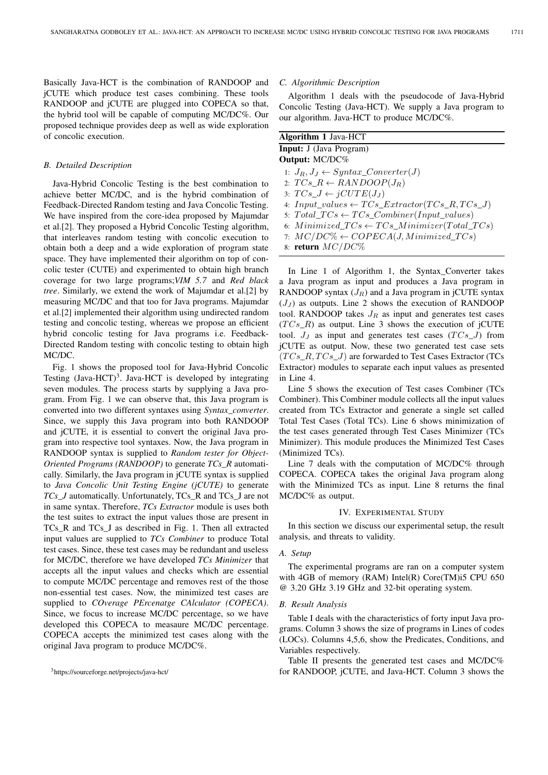Basically Java-HCT is the combination of RANDOOP and jCUTE which produce test cases combining. These tools RANDOOP and jCUTE are plugged into COPECA so that, the hybrid tool will be capable of computing MC/DC%. Our proposed technique provides deep as well as wide exploration of concolic execution.

## *B. Detailed Description*

Java-Hybrid Concolic Testing is the best combination to achieve better MC/DC, and is the hybrid combination of Feedback-Directed Random testing and Java Concolic Testing. We have inspired from the core-idea proposed by Majumdar et al.[2]. They proposed a Hybrid Concolic Testing algorithm, that interleaves random testing with concolic execution to obtain both a deep and a wide exploration of program state space. They have implemented their algorithm on top of concolic tester (CUTE) and experimented to obtain high branch coverage for two large programs;*VIM 5.7* and *Red black tree*. Similarly, we extend the work of Majumdar et al.[2] by measuring MC/DC and that too for Java programs. Majumdar et al.[2] implemented their algorithm using undirected random testing and concolic testing, whereas we propose an efficient hybrid concolic testing for Java programs i.e. Feedback-Directed Random testing with concolic testing to obtain high MC/DC.

Fig. 1 shows the proposed tool for Java-Hybrid Concolic Testing  $(Java-HCT)^3$ . Java-HCT is developed by integrating seven modules. The process starts by supplying a Java program. From Fig. 1 we can observe that, this Java program is converted into two different syntaxes using *Syntax\_converter*. Since, we supply this Java program into both RANDOOP and jCUTE, it is essential to convert the original Java program into respective tool syntaxes. Now, the Java program in RANDOOP syntax is supplied to *Random tester for Object-Oriented Programs (RANDOOP)* to generate *TCs\_R* automatically. Similarly, the Java program in jCUTE syntax is supplied to *Java Concolic Unit Testing Engine (jCUTE)* to generate *TCs\_J* automatically. Unfortunately, TCs\_R and TCs\_J are not in same syntax. Therefore, *TCs Extractor* module is uses both the test suites to extract the input values those are present in TCs\_R and TCs\_J as described in Fig. 1. Then all extracted input values are supplied to *TCs Combiner* to produce Total test cases. Since, these test cases may be redundant and useless for MC/DC, therefore we have developed *TCs Minimizer* that accepts all the input values and checks which are essential to compute MC/DC percentage and removes rest of the those non-essential test cases. Now, the minimized test cases are supplied to *COverage PErcenatge CAlculator (COPECA)*. Since, we focus to increase MC/DC percentage, so we have developed this COPECA to measaure MC/DC percentage. COPECA accepts the minimized test cases along with the original Java program to produce MC/DC%.

## *C. Algorithmic Description*

Algorithm 1 deals with the pseudocode of Java-Hybrid Concolic Testing (Java-HCT). We supply a Java program to our algorithm. Java-HCT to produce MC/DC%.

| <b>Algorithm 1 Java-HCT</b>                                 |
|-------------------------------------------------------------|
| <b>Input:</b> J (Java Program)                              |
| <b>Output:</b> MC/DC%                                       |
| 1: $J_R, J_J \leftarrow Syntax\_Converter(J)$               |
| 2: $TCs_R \leftarrow RANDOM(J_R)$                           |
| 3: $TCs\_J \leftarrow jCUTE(J_J)$                           |
| 4: $Input\_values \leftarrow TCs\_Extractor(TCs\_R,TCs\_J)$ |
| 5: $Total\_TCs \leftarrow TCs\_Combiner(Input\_values)$     |
| 6: $Minimized\_TCs \leftarrow TCs\_Minimize(Total\_TCs)$    |
| 7: $MC/DC\% \leftarrow COPECA(J, Minimized\_TCs)$           |
| 8: return $MC/DC\%$                                         |

In Line 1 of Algorithm 1, the Syntax\_Converter takes a Java program as input and produces a Java program in RANDOOP syntax  $(J_R)$  and a Java program in jCUTE syntax  $(J_J)$  as outputs. Line 2 shows the execution of RANDOOP tool. RANDOOP takes  $J_R$  as input and generates test cases  $(TCs_R)$  as output. Line 3 shows the execution of jCUTE tool.  $J_J$  as input and generates test cases  $(TCs\_J)$  from jCUTE as output. Now, these two generated test case sets  $(TCs\_R, TCs\_J)$  are forwarded to Test Cases Extractor (TCs Extractor) modules to separate each input values as presented in Line 4.

Line 5 shows the execution of Test cases Combiner (TCs Combiner). This Combiner module collects all the input values created from TCs Extractor and generate a single set called Total Test Cases (Total TCs). Line 6 shows minimization of the test cases generated through Test Cases Minimizer (TCs Minimizer). This module produces the Minimized Test Cases (Minimized TCs).

Line 7 deals with the computation of MC/DC% through COPECA. COPECA takes the original Java program along with the Minimized TCs as input. Line 8 returns the final MC/DC% as output.

#### IV. EXPERIMENTAL STUDY

In this section we discuss our experimental setup, the result analysis, and threats to validity.

## *A. Setup*

The experimental programs are ran on a computer system with 4GB of memory (RAM) Intel(R) Core(TM)i5 CPU 650 @ 3.20 GHz 3.19 GHz and 32-bit operating system.

#### *B. Result Analysis*

Table I deals with the characteristics of forty input Java programs. Column 3 shows the size of programs in Lines of codes (LOCs). Columns 4,5,6, show the Predicates, Conditions, and Variables respectively.

Table II presents the generated test cases and MC/DC% for RANDOOP, jCUTE, and Java-HCT. Column 3 shows the

<sup>3</sup>https://sourceforge.net/projects/java-hct/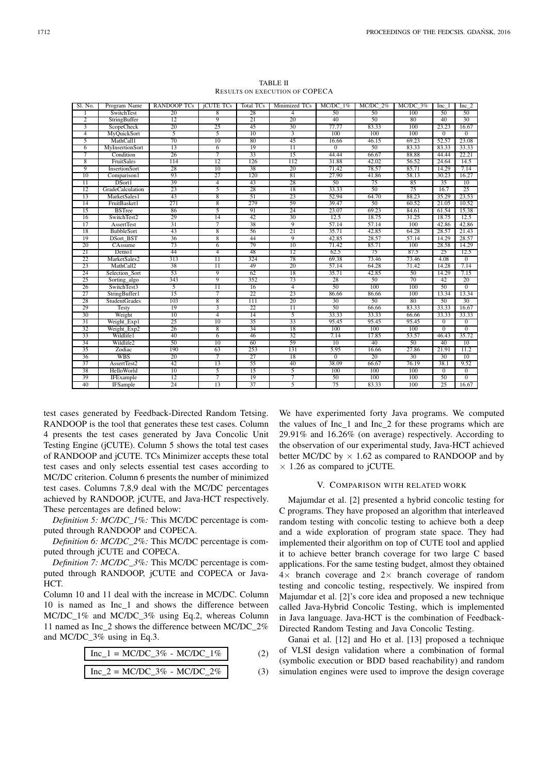| Sl. No.         | Program Name            | <b>RANDOOP TCs</b> | <b>iCUTE TCs</b> | Total TCs       | Minimized TCs   | $MC/DC$ 1%      | $MC/DC$ 2% | $MC/DC$ 3% | Inc 1        | Inc 2           |
|-----------------|-------------------------|--------------------|------------------|-----------------|-----------------|-----------------|------------|------------|--------------|-----------------|
|                 | SwitchTest              | 20                 | 8                | 28              | $\overline{4}$  | 50              | 50         | 100        | 50           | 50              |
| 2               | StringBuffer            | 12                 | 9                | 21              | 20              | 40              | 50         | 80         | 40           | 30              |
| $\overline{3}$  | <b>ScopeCheck</b>       | 20                 | 25               | 45              | 30              | 77.77           | 83.33      | 100        | 23.23        | 16.67           |
| 4               | MyQuickSort             | 5                  | 5                | $\overline{10}$ | $\overline{3}$  | 100             | 100        | 100        | $\Omega$     | $\Omega$        |
| 5               | MathCall1               | 70                 | 10               | 80              | 45              | 16.66           | 46.15      | 69.23      | 52.57        | 23.08           |
| 6               | <b>MyInsertionSort</b>  | 13                 | 6                | 19              | $\overline{11}$ | $\overline{0}$  | 50         | 83.33      | 83.33        | 33.33           |
| 7               | Condition               | 26                 | 7                | 33              | 15              | 44.44           | 66.67      | 88.88      | 44.44        | 22.21           |
| 8               | FruitSales              | 114                | 12               | 126             | 112             | 31.88           | 42.02      | 56.52      | 24.64        | 14.5            |
| 9               | InsertionSort           | 28                 | 10               | 38              | 20              | 71.42           | 78.57      | 85.71      | 14.29        | 7.14            |
| 10              | Comparison1             | 93                 | 27               | 120             | 81              | 27.90           | 41.86      | 58.13      | 30.23        | 16.27           |
| $\overline{11}$ | DSort1                  | 39                 | 4                | 43              | 28              | 50              | 75         | 85         | 35           | 10              |
| 12              | <b>GradeCalculation</b> | 23                 | 5                | 28              | 18              | 33.33           | 50         | 75         | 16.7         | 25              |
| 13              | MarketSales1            | 43                 | 8                | $\overline{51}$ | 23              | 52.94           | 64.70      | 88.23      | 35.29        | 23.53           |
| 14              | FruitBasket1            | 271                | 8                | 279             | 59              | 39.47           | 50         | 60.52      | 21.05        | 10.52           |
| 15              | <b>BSTree</b>           | 86                 | 5                | 91              | 24              | 23.07           | 69.23      | 84.61      | 61.54        | 15.38           |
| 16              | SwitchTest2             | 29                 | 14               | 42              | 30              | 12.5            | 18.75      | 31.25      | 18.75        | 12.5            |
| 17              | <b>AssertTest</b>       | 31                 | 7                | 38              | 9               | 57.14           | 57.14      | 100        | 42.86        | 42.86           |
| 18              | <b>BubbleSort</b>       | 43                 | 8                | 56              | 21              | 35.71           | 42.85      | 64.28      | 28.57        | 21.43           |
| 19              | <b>DSort BST</b>        | 36                 | 8                | 44              | 9               | 42.85           | 28.57      | 57.14      | 14.29        | 28.57           |
| 20              | CAssume                 | 73                 | 6                | 79              | 10              | 71.42           | 85.71      | 100        | 28.58        | 14.29           |
| 21              | Demol                   | 44                 | $\overline{4}$   | 48              | 12              | 62.5            | 75         | 87.5       | 25           | 12.5            |
| 22              | MarketSales2            | 313                | $\overline{11}$  | 324             | 78              | 69.38           | 73.46      | 73.46      | 4.08         | $\overline{0}$  |
| 23              | MathCall2               | 38                 | $\overline{11}$  | 49              | 20              | 57.14           | 64.28      | 71.42      | 14.28        | 7.14            |
| 24              | Selection_Sort          | 53                 | 9                | 62              | 18              | 35.71           | 42.85      | 50         | 14.29        | 7.15            |
| 25              | Sorting algo            | 343                | 9                | 352             | 73              | 28              | 50         | 70         | 42           | 20              |
| 26              | SwitchTest3             | 5                  | $\overline{11}$  | 16              | $\overline{4}$  | 50              | 100        | 100        | 50           | $\overline{0}$  |
| 27              | StringBuffer1           | 15                 | 7                | 22              | 23              | 86.66           | 86.66      | 100        | 13.34        | 13.34           |
| 28              | <b>StudentGrades</b>    | 103                | 8                | 111             | 20              | 30              | 50         | 80         | 50           | 30              |
| 29              | <b>Testy</b>            | 19                 | 3                | 22              | $\overline{11}$ | 50              | 66.66      | 83.33      | 33.33        | 16.67           |
| 30              | Weight                  | 10                 | 4                | 14              | 5               | 33.33           | 33.33      | 66.66      | 33.33        | 33.33           |
| 31              | Weight Exp1             | 25                 | 10               | 35              | 33              | 95.45           | 95.45      | 95.45      | $\mathbf{0}$ | $\overline{0}$  |
| 32              | Weight Exp2             | 26                 | 8                | 34              | 18              | 100             | 100        | 100        | $\Omega$     | $\overline{0}$  |
| 33              | Wildlife1               | 40                 | 6                | 46              | 32              | 7.14            | 17.85      | 53.57      | 46.43        | 35.72           |
| 34              | Wildlife2               | 50                 | 10               | 60              | 59              | $\overline{10}$ | 40         | 50         | 40           | $\overline{10}$ |
| 35              | Zodiac                  | 190                | 63               | 253             | 131             | 5.95            | 16.66      | 27.86      | 21.91        | 11.2            |
| 36              | <b>WBS</b>              | 20                 | 7                | 27              | 18              | $\overline{0}$  | 20         | 30         | 30           | 10              |
| 37              | AssertTest2             | 42                 | 13               | 55              | 40              | 38.09           | 66.67      | 76.19      | 38.1         | 9.52            |
| 38              | HelloWorld              | 10                 | 5                | 15              | 5               | 100             | 100        | 100        | $\mathbf{0}$ | $\mathbf{0}$    |
| 39              | IFExample               | 12                 | 7                | 19              | 7               | 50              | 100        | 100        | 50           | $\overline{0}$  |
| 40              | <b>IFSample</b>         | 24                 | 13               | 37              | 5               | 75              | 83.33      | 100        | 25           | 16.67           |

TABLE II RESULTS ON EXECUTION OF COPECA

test cases generated by Feedback-Directed Random Tetsing. RANDOOP is the tool that generates these test cases. Column 4 presents the test cases generated by Java Concolic Unit Testing Engine (jCUTE). Column 5 shows the total test cases of RANDOOP and jCUTE. TCs Minimizer accepts these total test cases and only selects essential test cases according to MC/DC criterion. Column 6 presents the number of minimized test cases. Columns 7,8,9 deal with the MC/DC percentages achieved by RANDOOP, jCUTE, and Java-HCT respectively. These percentages are defined below:

*Definition 5: MC/DC\_1%:* This MC/DC percentage is computed through RANDOOP and COPECA.

*Definition 6: MC/DC\_2%:* This MC/DC percentage is computed through jCUTE and COPECA.

*Definition 7: MC/DC\_3%:* This MC/DC percentage is computed through RANDOOP, jCUTE and COPECA or Java-HCT.

Column 10 and 11 deal with the increase in MC/DC. Column 10 is named as Inc\_1 and shows the difference between MC/DC\_1% and MC/DC\_3% using Eq.2, whereas Column 11 named as Inc\_2 shows the difference between MC/DC\_2% and MC/DC\_3% using in Eq.3.

$$
Inc_1 = MC/DC_3\% - MC/DC_1\% \t(2)
$$

$$
Inc_2 = MC/DC_3\% - MC/DC_2\% \t(3)
$$

We have experimented forty Java programs. We computed the values of Inc\_1 and Inc\_2 for these programs which are 29.91% and 16.26% (on average) respectively. According to the observation of our experimental study, Java-HCT achieved better MC/DC by  $\times$  1.62 as compared to RANDOOP and by  $\times$  1.26 as compared to jCUTE.

#### V. COMPARISON WITH RELATED WORK

Majumdar et al. [2] presented a hybrid concolic testing for C programs. They have proposed an algorithm that interleaved random testing with concolic testing to achieve both a deep and a wide exploration of program state space. They had implemented their algorithm on top of CUTE tool and applied it to achieve better branch coverage for two large C based applications. For the same testing budget, almost they obtained  $4\times$  branch coverage and  $2\times$  branch coverage of random testing and concolic testing, respectively. We inspired from Majumdar et al. [2]'s core idea and proposed a new technique called Java-Hybrid Concolic Testing, which is implemented in Java language. Java-HCT is the combination of Feedback-Directed Random Testing and Java Concolic Testing.

Ganai et al. [12] and Ho et al. [13] proposed a technique of VLSI design validation where a combination of formal (symbolic execution or BDD based reachability) and random simulation engines were used to improve the design coverage